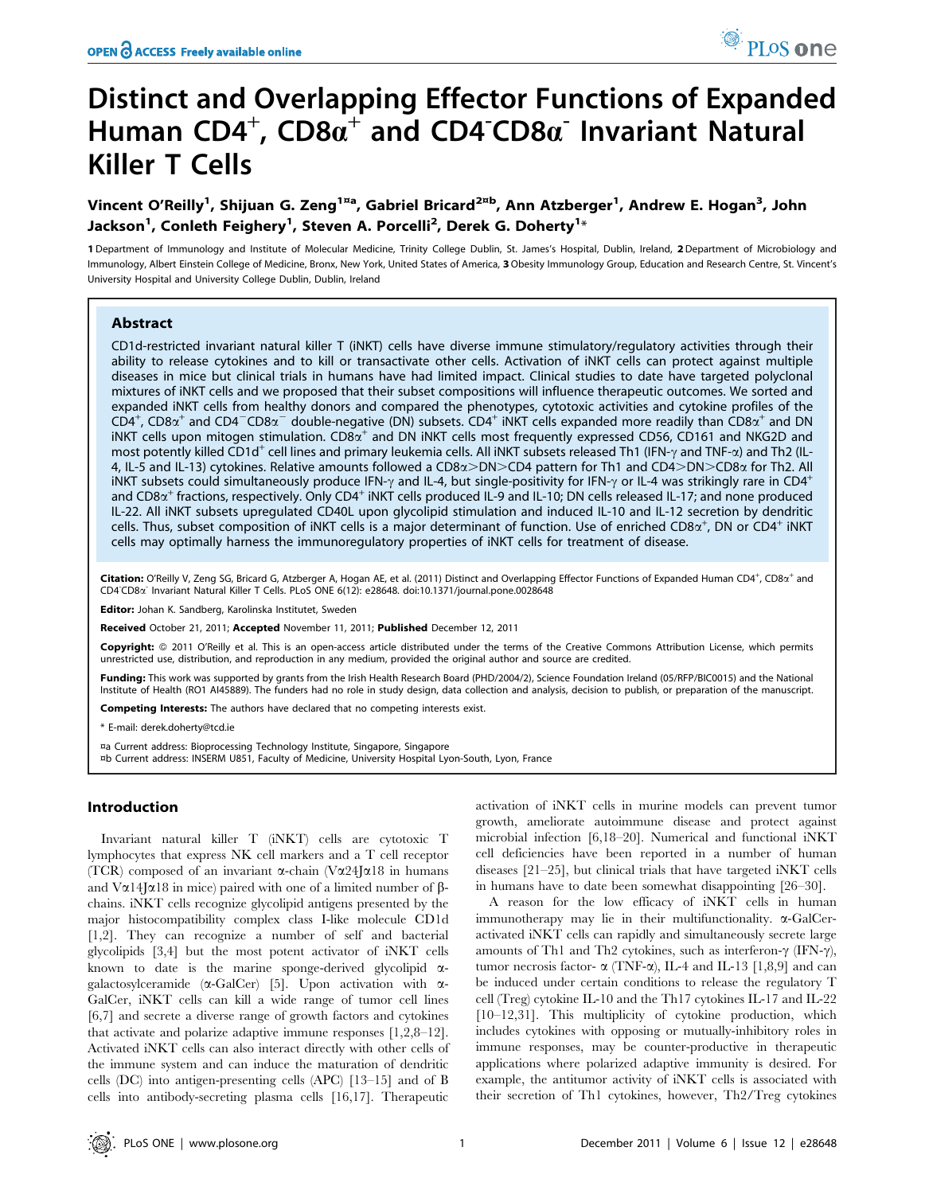# Distinct and Overlapping Effector Functions of Expanded Human CD4<sup>+</sup>, CD8 $\alpha^+$  and CD4<sup>-</sup>CD8 $\alpha^-$  Invariant Natural Killer T Cells

# Vincent O'Reilly<sup>1</sup>, Shijuan G. Zeng<sup>1¤a</sup>, Gabriel Bricard<sup>2¤b</sup>, Ann Atzberger<sup>1</sup>, Andrew E. Hogan<sup>3</sup>, John Jackson $^1$ , Conleth Feighery $^1$ , Steven A. Porcelli $^2$ , Derek G. Doherty $^{1_\ast}$

1 Department of Immunology and Institute of Molecular Medicine, Trinity College Dublin, St. James's Hospital, Dublin, Ireland, 2 Department of Microbiology and Immunology, Albert Einstein College of Medicine, Bronx, New York, United States of America, 3Obesity Immunology Group, Education and Research Centre, St. Vincent's University Hospital and University College Dublin, Dublin, Ireland

## Abstract

CD1d-restricted invariant natural killer T (iNKT) cells have diverse immune stimulatory/regulatory activities through their ability to release cytokines and to kill or transactivate other cells. Activation of iNKT cells can protect against multiple diseases in mice but clinical trials in humans have had limited impact. Clinical studies to date have targeted polyclonal mixtures of iNKT cells and we proposed that their subset compositions will influence therapeutic outcomes. We sorted and expanded iNKT cells from healthy donors and compared the phenotypes, cytotoxic activities and cytokine profiles of the  $CD4^+$ ,  $CD8\alpha^+$  and  $CD4^-CD8\alpha^-$  double-negative (DN) subsets.  $CD4^+$  iNKT cells expanded more readily than  $CD8\alpha^+$  and DN iNKT cells upon mitogen stimulation.  $CD8\alpha^+$  and DN iNKT cells most frequently expressed CD56, CD161 and NKG2D and most potently killed CD1d<sup>+</sup> cell lines and primary leukemia cells. All iNKT subsets released Th1 (IFN- $\gamma$  and TNF- $\alpha$ ) and Th2 (IL-4, IL-5 and IL-13) cytokines. Relative amounts followed a CD8 $\alpha$ >DN>CD4 pattern for Th1 and CD4>DN>CD8 $\alpha$  for Th2. All iNKT subsets could simultaneously produce IFN- $\gamma$  and IL-4, but single-positivity for IFN- $\gamma$  or IL-4 was strikingly rare in CD4<sup>+</sup> and CD8 $\alpha^+$  fractions, respectively. Only CD4<sup>+</sup> iNKT cells produced IL-9 and IL-10; DN cells released IL-17; and none produced IL-22. All iNKT subsets upregulated CD40L upon glycolipid stimulation and induced IL-10 and IL-12 secretion by dendritic cells. Thus, subset composition of iNKT cells is a major determinant of function. Use of enriched CD8 $\alpha^+$ , DN or CD4<sup>+</sup> iNKT cells may optimally harness the immunoregulatory properties of iNKT cells for treatment of disease.

Citation: O'Reilly V, Zeng SG, Bricard G, Atzberger A, Hogan AE, et al. (2011) Distinct and Overlapping Effector Functions of Expanded Human CD4<sup>+</sup>, CD8x<sup>+</sup> and CD4- CD8a- Invariant Natural Killer T Cells. PLoS ONE 6(12): e28648. doi:10.1371/journal.pone.0028648

Editor: Johan K. Sandberg, Karolinska Institutet, Sweden

Received October 21, 2011; Accepted November 11, 2011; Published December 12, 2011

**Copyright:** © 2011 O'Reilly et al. This is an open-access article distributed under the terms of the Creative Commons Attribution License, which permits unrestricted use, distribution, and reproduction in any medium, provided the original author and source are credited.

Funding: This work was supported by grants from the Irish Health Research Board (PHD/2004/2), Science Foundation Ireland (05/RFP/BIC0015) and the National Institute of Health (RO1 AI45889). The funders had no role in study design, data collection and analysis, decision to publish, or preparation of the manuscript.

Competing Interests: The authors have declared that no competing interests exist.

\* E-mail: derek.doherty@tcd.ie

¤a Current address: Bioprocessing Technology Institute, Singapore, Singapore

¤b Current address: INSERM U851, Faculty of Medicine, University Hospital Lyon-South, Lyon, France

# Introduction

Invariant natural killer T (iNKT) cells are cytotoxic T lymphocytes that express NK cell markers and a T cell receptor (TCR) composed of an invariant  $\alpha$ -chain (V $\alpha$ 24J $\alpha$ 18 in humans and V $\alpha$ 14J $\alpha$ 18 in mice) paired with one of a limited number of  $\beta$ chains. iNKT cells recognize glycolipid antigens presented by the major histocompatibility complex class I-like molecule CD1d [1,2]. They can recognize a number of self and bacterial glycolipids [3,4] but the most potent activator of iNKT cells known to date is the marine sponge-derived glycolipid  $\alpha$ galactosylceramide ( $\alpha$ -GalCer) [5]. Upon activation with  $\alpha$ -GalCer, iNKT cells can kill a wide range of tumor cell lines [6,7] and secrete a diverse range of growth factors and cytokines that activate and polarize adaptive immune responses [1,2,8–12]. Activated iNKT cells can also interact directly with other cells of the immune system and can induce the maturation of dendritic cells (DC) into antigen-presenting cells (APC) [13–15] and of B cells into antibody-secreting plasma cells [16,17]. Therapeutic

activation of iNKT cells in murine models can prevent tumor growth, ameliorate autoimmune disease and protect against microbial infection [6,18–20]. Numerical and functional iNKT cell deficiencies have been reported in a number of human diseases [21–25], but clinical trials that have targeted iNKT cells in humans have to date been somewhat disappointing [26–30].

A reason for the low efficacy of iNKT cells in human immunotherapy may lie in their multifunctionality.  $\alpha$ -GalCeractivated iNKT cells can rapidly and simultaneously secrete large amounts of Th1 and Th2 cytokines, such as interferon- $\gamma$  (IFN- $\gamma$ ), tumor necrosis factor-  $\alpha$  (TNF- $\alpha$ ), IL-4 and IL-13 [1,8,9] and can be induced under certain conditions to release the regulatory T cell (Treg) cytokine IL-10 and the Th17 cytokines IL-17 and IL-22 [10–12,31]. This multiplicity of cytokine production, which includes cytokines with opposing or mutually-inhibitory roles in immune responses, may be counter-productive in therapeutic applications where polarized adaptive immunity is desired. For example, the antitumor activity of iNKT cells is associated with their secretion of Th1 cytokines, however, Th2/Treg cytokines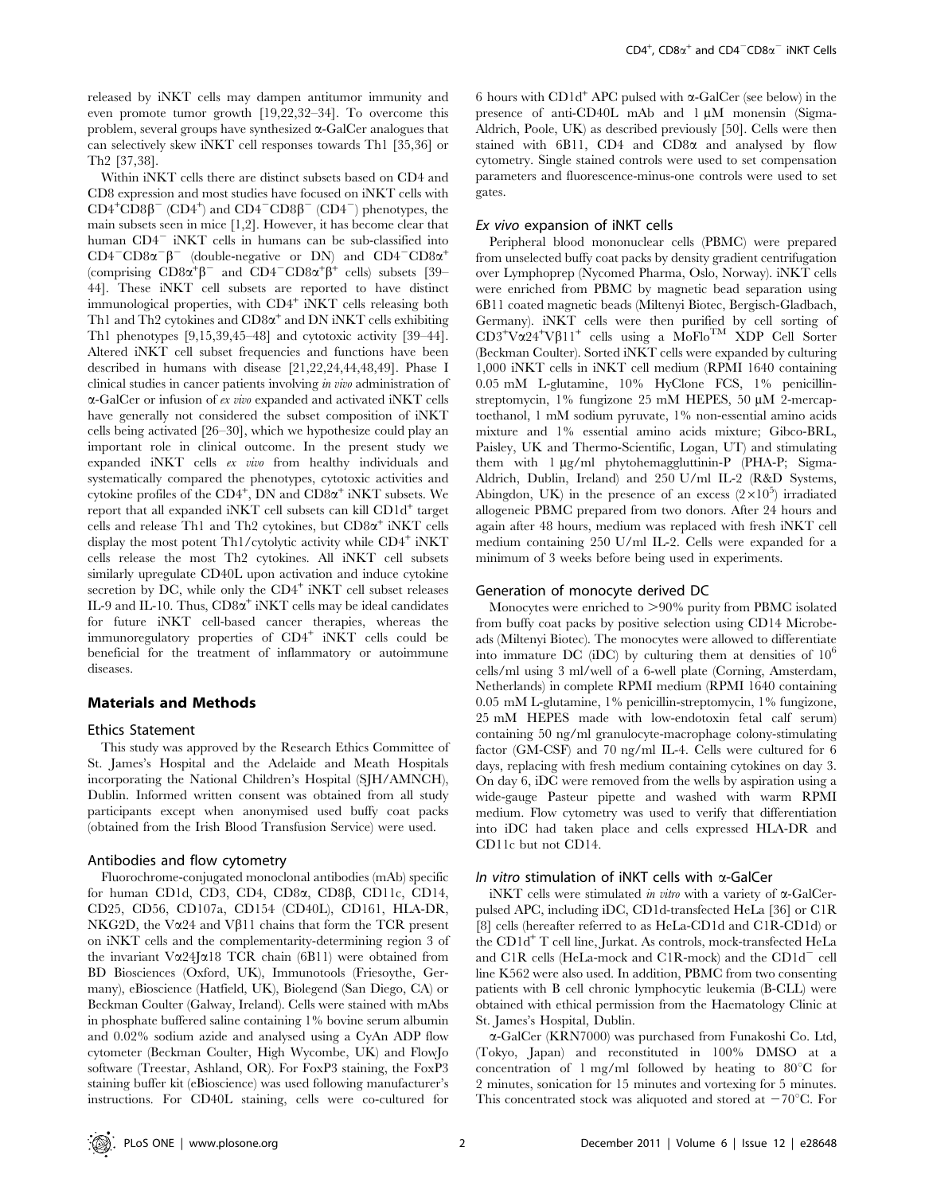released by iNKT cells may dampen antitumor immunity and even promote tumor growth [19,22,32–34]. To overcome this problem, several groups have synthesized  $\alpha$ -GalCer analogues that can selectively skew iNKT cell responses towards Th1 [35,36] or Th2 [37,38].

Within iNKT cells there are distinct subsets based on CD4 and CD8 expression and most studies have focused on iNKT cells with  $CD4^+CD8\beta^-$  ( $CD4^+$ ) and  $CD4^-CD8\beta^-$  ( $CD4^-$ ) phenotypes, the main subsets seen in mice [1,2]. However, it has become clear that human  $CD4^-$  iNKT cells in humans can be sub-classified into  $CD4\text{-}CD8\alpha\text{-}B\text{-}$  (double-negative or DN) and  $CD4\text{-}CD8\alpha^+$ (comprising  $CD8\alpha^+\beta^-$  and  $CD4$ <sup>-</sup>CD8 $\alpha^+\beta^+$  cells) subsets [39– 44]. These iNKT cell subsets are reported to have distinct immunological properties, with CD4<sup>+</sup> iNKT cells releasing both Th1 and Th2 cytokines and  $CD8\alpha^+$  and DN iNKT cells exhibiting Th1 phenotypes [9,15,39,45–48] and cytotoxic activity [39–44]. Altered iNKT cell subset frequencies and functions have been described in humans with disease [21,22,24,44,48,49]. Phase I clinical studies in cancer patients involving in vivo administration of  $\alpha$ -GalCer or infusion of ex vivo expanded and activated iNKT cells have generally not considered the subset composition of iNKT cells being activated [26–30], which we hypothesize could play an important role in clinical outcome. In the present study we expanded iNKT cells ex vivo from healthy individuals and systematically compared the phenotypes, cytotoxic activities and cytokine profiles of the  $CD4^+$ , DN and  $CD8\alpha^+$  iNKT subsets. We report that all expanded iNKT cell subsets can kill CD1d<sup>+</sup> target cells and release Th1 and Th2 cytokines, but  $CD8\alpha^+$  iNKT cells display the most potent Th1/cytolytic activity while CD4<sup>+</sup> iNKT cells release the most Th2 cytokines. All iNKT cell subsets similarly upregulate CD40L upon activation and induce cytokine secretion by  $DC$ , while only the  $CD4^+$  iNKT cell subset releases IL-9 and IL-10. Thus,  $CD8\alpha^+$  iNKT cells may be ideal candidates for future iNKT cell-based cancer therapies, whereas the immunoregulatory properties of CD4<sup>+</sup> iNKT cells could be beneficial for the treatment of inflammatory or autoimmune diseases.

## Materials and Methods

#### Ethics Statement

This study was approved by the Research Ethics Committee of St. James's Hospital and the Adelaide and Meath Hospitals incorporating the National Children's Hospital (SJH/AMNCH), Dublin. Informed written consent was obtained from all study participants except when anonymised used buffy coat packs (obtained from the Irish Blood Transfusion Service) were used.

#### Antibodies and flow cytometry

Fluorochrome-conjugated monoclonal antibodies (mAb) specific for human CD1d, CD3, CD4, CD8a, CD8b, CD11c, CD14, CD25, CD56, CD107a, CD154 (CD40L), CD161, HLA-DR, NKG2D, the V $\alpha$ 24 and V $\beta$ 11 chains that form the TCR present on iNKT cells and the complementarity-determining region 3 of the invariant  $V\alpha$ 24J $\alpha$ 18 TCR chain (6B11) were obtained from BD Biosciences (Oxford, UK), Immunotools (Friesoythe, Germany), eBioscience (Hatfield, UK), Biolegend (San Diego, CA) or Beckman Coulter (Galway, Ireland). Cells were stained with mAbs in phosphate buffered saline containing 1% bovine serum albumin and 0.02% sodium azide and analysed using a CyAn ADP flow cytometer (Beckman Coulter, High Wycombe, UK) and FlowJo software (Treestar, Ashland, OR). For FoxP3 staining, the FoxP3 staining buffer kit (eBioscience) was used following manufacturer's instructions. For CD40L staining, cells were co-cultured for

6 hours with  $CD1d^+$  APC pulsed with  $\alpha$ -GalCer (see below) in the presence of anti-CD40L mAb and 1 µM monensin (Sigma-Aldrich, Poole, UK) as described previously [50]. Cells were then stained with 6B11, CD4 and CD8 $\alpha$  and analysed by flow cytometry. Single stained controls were used to set compensation parameters and fluorescence-minus-one controls were used to set gates.

#### Ex vivo expansion of iNKT cells

Peripheral blood mononuclear cells (PBMC) were prepared from unselected buffy coat packs by density gradient centrifugation over Lymphoprep (Nycomed Pharma, Oslo, Norway). iNKT cells were enriched from PBMC by magnetic bead separation using 6B11 coated magnetic beads (Miltenyi Biotec, Bergisch-Gladbach, Germany). iNKT cells were then purified by cell sorting of CD3+V $\alpha$ 24+V $\beta$ 11+ cells using a MoFlo<sup>TM</sup> XDP Cell Sorter (Beckman Coulter). Sorted iNKT cells were expanded by culturing 1,000 iNKT cells in iNKT cell medium (RPMI 1640 containing 0.05 mM L-glutamine, 10% HyClone FCS, 1% penicillinstreptomycin,  $1\%$  fungizone 25 mM HEPES, 50  $\mu$ M 2-mercaptoethanol, 1 mM sodium pyruvate, 1% non-essential amino acids mixture and 1% essential amino acids mixture; Gibco-BRL, Paisley, UK and Thermo-Scientific, Logan, UT) and stimulating them with  $1 \mu g/ml$  phytohemaggluttinin-P (PHA-P; Sigma-Aldrich, Dublin, Ireland) and 250 U/ml IL-2 (R&D Systems, Abingdon, UK) in the presence of an excess  $(2 \times 10^5)$  irradiated allogeneic PBMC prepared from two donors. After 24 hours and again after 48 hours, medium was replaced with fresh iNKT cell medium containing 250 U/ml IL-2. Cells were expanded for a minimum of 3 weeks before being used in experiments.

#### Generation of monocyte derived DC

Monocytes were enriched to >90% purity from PBMC isolated from buffy coat packs by positive selection using CD14 Microbeads (Miltenyi Biotec). The monocytes were allowed to differentiate into immature DC (iDC) by culturing them at densities of  $10^6$ cells/ml using 3 ml/well of a 6-well plate (Corning, Amsterdam, Netherlands) in complete RPMI medium (RPMI 1640 containing 0.05 mM L-glutamine, 1% penicillin-streptomycin, 1% fungizone, 25 mM HEPES made with low-endotoxin fetal calf serum) containing 50 ng/ml granulocyte-macrophage colony-stimulating factor (GM-CSF) and 70 ng/ml IL-4. Cells were cultured for 6 days, replacing with fresh medium containing cytokines on day 3. On day 6, iDC were removed from the wells by aspiration using a wide-gauge Pasteur pipette and washed with warm RPMI medium. Flow cytometry was used to verify that differentiation into iDC had taken place and cells expressed HLA-DR and CD11c but not CD14.

#### In vitro stimulation of iNKT cells with  $\alpha$ -GalCer

iNKT cells were stimulated in vitro with a variety of  $\alpha$ -GalCerpulsed APC, including iDC, CD1d-transfected HeLa [36] or C1R [8] cells (hereafter referred to as HeLa-CD1d and C1R-CD1d) or the CD1d<sup>+</sup> T cell line, Jurkat. As controls, mock-transfected HeLa and C1R cells (HeLa-mock and C1R-mock) and the  $CD1d$ <sup>-</sup> cell line K562 were also used. In addition, PBMC from two consenting patients with B cell chronic lymphocytic leukemia (B-CLL) were obtained with ethical permission from the Haematology Clinic at St. James's Hospital, Dublin.

a-GalCer (KRN7000) was purchased from Funakoshi Co. Ltd, (Tokyo, Japan) and reconstituted in 100% DMSO at a concentration of 1 mg/ml followed by heating to  $80^{\circ}$ C for 2 minutes, sonication for 15 minutes and vortexing for 5 minutes. This concentrated stock was aliquoted and stored at  $-70^{\circ}$ C. For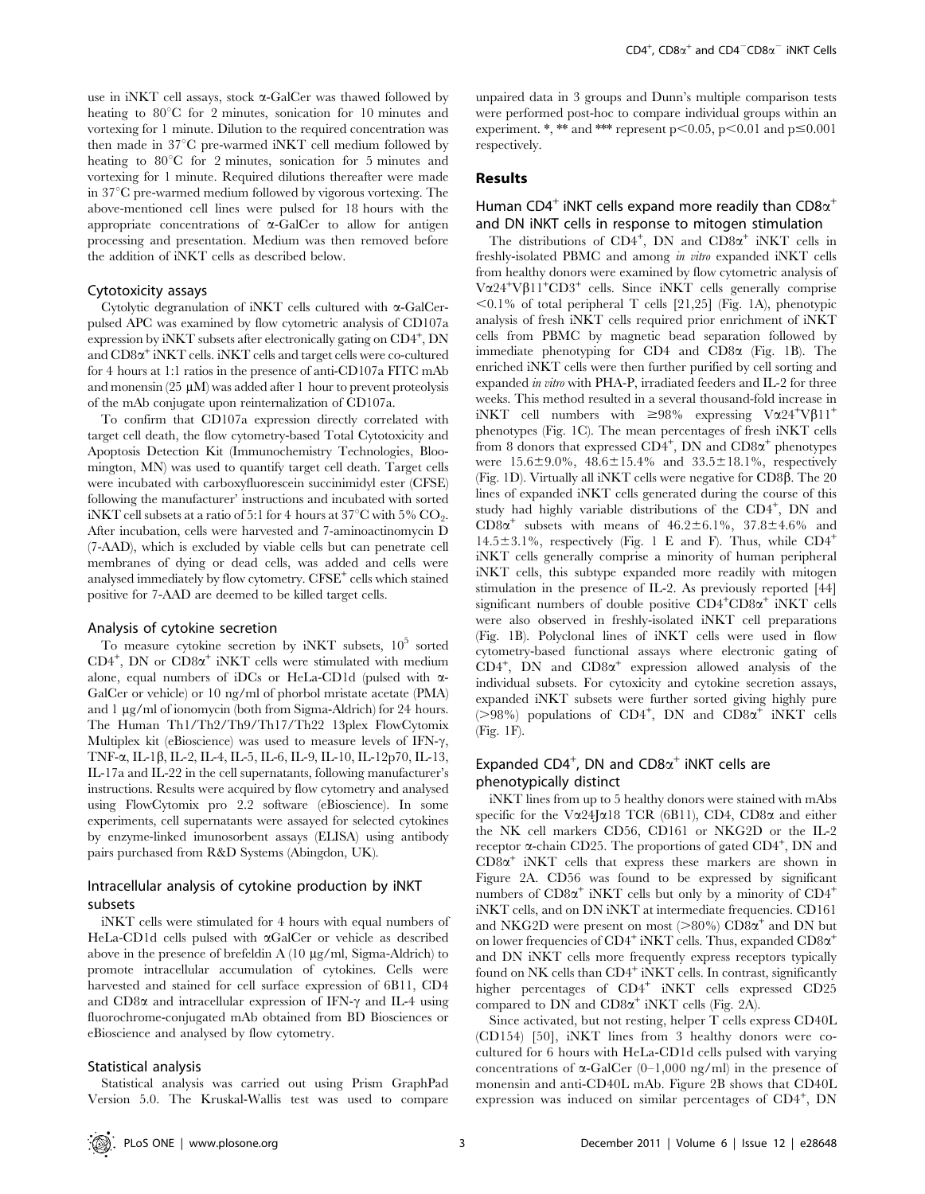use in iNKT cell assays, stock  $\alpha$ -GalCer was thawed followed by heating to 80 $^{\circ}$ C for 2 minutes, sonication for 10 minutes and vortexing for 1 minute. Dilution to the required concentration was then made in  $37^{\circ}$ C pre-warmed iNKT cell medium followed by heating to  $80^{\circ}$ C for 2 minutes, sonication for 5 minutes and vortexing for 1 minute. Required dilutions thereafter were made in  $37^{\circ}$ C pre-warmed medium followed by vigorous vortexing. The above-mentioned cell lines were pulsed for 18 hours with the appropriate concentrations of  $\alpha$ -GalCer to allow for antigen processing and presentation. Medium was then removed before the addition of iNKT cells as described below.

#### Cytotoxicity assays

Cytolytic degranulation of iNKT cells cultured with  $\alpha$ -GalCerpulsed APC was examined by flow cytometric analysis of CD107a expression by iNKT subsets after electronically gating on  $\rm CD4^{+},\rm DN$ and  $CD8\alpha^+$  iNKT cells. iNKT cells and target cells were co-cultured for 4 hours at 1:1 ratios in the presence of anti-CD107a FITC mAb and monensin (25  $\mu$ M) was added after 1 hour to prevent proteolysis of the mAb conjugate upon reinternalization of CD107a.

To confirm that CD107a expression directly correlated with target cell death, the flow cytometry-based Total Cytotoxicity and Apoptosis Detection Kit (Immunochemistry Technologies, Bloomington, MN) was used to quantify target cell death. Target cells were incubated with carboxyfluorescein succinimidyl ester (CFSE) following the manufacturer' instructions and incubated with sorted iNKT cell subsets at a ratio of 5:1 for 4 hours at  $37^{\circ}$ C with 5% CO<sub>2</sub>. After incubation, cells were harvested and 7-aminoactinomycin D (7-AAD), which is excluded by viable cells but can penetrate cell membranes of dying or dead cells, was added and cells were analysed immediately by flow cytometry. CFSE<sup>+</sup> cells which stained positive for 7-AAD are deemed to be killed target cells.

#### Analysis of cytokine secretion

To measure cytokine secretion by iNKT subsets,  $10^5$  sorted  $CD4^+$ , DN or  $CD8\alpha^+$  iNKT cells were stimulated with medium alone, equal numbers of iDCs or HeLa-CD1d (pulsed with  $\alpha$ -GalCer or vehicle) or 10 ng/ml of phorbol mristate acetate (PMA) and 1 µg/ml of ionomycin (both from Sigma-Aldrich) for 24 hours. The Human Th1/Th2/Th9/Th17/Th22 13plex FlowCytomix Multiplex kit (eBioscience) was used to measure levels of IFN- $\gamma$ , TNF-a, IL-1b, IL-2, IL-4, IL-5, IL-6, IL-9, IL-10, IL-12p70, IL-13, IL-17a and IL-22 in the cell supernatants, following manufacturer's instructions. Results were acquired by flow cytometry and analysed using FlowCytomix pro 2.2 software (eBioscience). In some experiments, cell supernatants were assayed for selected cytokines by enzyme-linked imunosorbent assays (ELISA) using antibody pairs purchased from R&D Systems (Abingdon, UK).

## Intracellular analysis of cytokine production by iNKT subsets

iNKT cells were stimulated for 4 hours with equal numbers of HeLa-CD1d cells pulsed with aGalCer or vehicle as described above in the presence of brefeldin A  $(10 \mu g/ml, Sigma-Aldrich)$  to promote intracellular accumulation of cytokines. Cells were harvested and stained for cell surface expression of 6B11, CD4 and CD8 $\alpha$  and intracellular expression of IFN- $\gamma$  and IL-4 using fluorochrome-conjugated mAb obtained from BD Biosciences or eBioscience and analysed by flow cytometry.

Statistical analysis was carried out using Prism GraphPad Version 5.0. The Kruskal-Wallis test was used to compare

## Statistical analysis

specific for the V $\alpha$ 24J $\alpha$ 18 TCR (6B11), CD4, CD8 $\alpha$  and either the NK cell markers CD56, CD161 or NKG2D or the IL-2 receptor α-chain CD25. The proportions of gated CD4<sup>+</sup>, DN and  $CD8\alpha^+$  iNKT cells that express these markers are shown in Figure 2A. CD56 was found to be expressed by significant numbers of  $CD8\alpha^+$  iNKT cells but only by a minority of  $CD4^+$ iNKT cells, and on DN iNKT at intermediate frequencies. CD161 and NKG2D were present on most ( $>80\%$ ) CD8 $\alpha^+$  and DN but on lower frequencies of  $CD4^+$  iNKT cells. Thus, expanded  $CD8\alpha^+$ and DN iNKT cells more frequently express receptors typically found on NK cells than  $CD4^+$  iNKT cells. In contrast, significantly higher percentages of  $CD4^+$  iNKT cells expressed CD25 compared to DN and  $CD8\alpha^+$  iNKT cells (Fig. 2A).

iNKT lines from up to 5 healthy donors were stained with mAbs

Since activated, but not resting, helper T cells express CD40L (CD154) [50], iNKT lines from 3 healthy donors were cocultured for 6 hours with HeLa-CD1d cells pulsed with varying concentrations of  $\alpha$ -GalCer (0–1,000 ng/ml) in the presence of monensin and anti-CD40L mAb. Figure 2B shows that CD40L expression was induced on similar percentages of CD4<sup>+</sup>, DN

unpaired data in 3 groups and Dunn's multiple comparison tests were performed post-hoc to compare individual groups within an experiment. \*, \*\* and \*\*\* represent  $p<0.05$ ,  $p<0.01$  and  $p\leq0.001$ respectively.

## Results

## Human CD4<sup>+</sup> iNKT cells expand more readily than  $CD8\alpha^+$ and DN iNKT cells in response to mitogen stimulation

The distributions of CD4<sup>+</sup>, DN and CD8 $\alpha$ <sup>+</sup> iNKT cells in freshly-isolated PBMC and among in vitro expanded iNKT cells from healthy donors were examined by flow cytometric analysis of V $\alpha$ 24<sup>+</sup>V $\beta$ 11<sup>+</sup>CD3<sup>+</sup> cells. Since iNKT cells generally comprise  $\leq 0.1\%$  of total peripheral T cells [21,25] (Fig. 1A), phenotypic analysis of fresh iNKT cells required prior enrichment of iNKT cells from PBMC by magnetic bead separation followed by immediate phenotyping for CD4 and CD8a (Fig. 1B). The enriched iNKT cells were then further purified by cell sorting and expanded in vitro with PHA-P, irradiated feeders and IL-2 for three weeks. This method resulted in a several thousand-fold increase in iNKT cell numbers with  $\geq 98\%$  expressing V $\alpha$ 24<sup>+</sup>V $\beta$ 11<sup>+</sup> phenotypes (Fig. 1C). The mean percentages of fresh iNKT cells from 8 donors that expressed  $CD4^+$ , DN and  $CD8\alpha^+$  phenotypes were  $15.6 \pm 9.0\%$ ,  $48.6 \pm 15.4\%$  and  $33.5 \pm 18.1\%$ , respectively (Fig. 1D). Virtually all iNKT cells were negative for  $CD8\beta$ . The 20 lines of expanded iNKT cells generated during the course of this study had highly variable distributions of the CD4<sup>+</sup>, DN and CD8 $\alpha^+$  subsets with means of 46.2±6.1%, 37.8±4.6% and  $14.5\pm3.1\%$ , respectively (Fig. 1 E and F). Thus, while CD4<sup>+</sup> iNKT cells generally comprise a minority of human peripheral iNKT cells, this subtype expanded more readily with mitogen stimulation in the presence of IL-2. As previously reported [44] significant numbers of double positive CD4<sup>+</sup>CD8 $\alpha$ <sup>+</sup> iNKT cells were also observed in freshly-isolated iNKT cell preparations (Fig. 1B). Polyclonal lines of iNKT cells were used in flow cytometry-based functional assays where electronic gating of  $\text{CD4}^+$ ,  $\text{DN}$  and  $\text{CD8a}^+$  expression allowed analysis of the individual subsets. For cytoxicity and cytokine secretion assays, expanded iNKT subsets were further sorted giving highly pure (>98%) populations of CD4<sup>+</sup>, DN and CD8 $\alpha$ <sup>+</sup> iNKT cells (Fig. 1F).

# Expanded CD4<sup>+</sup>, DN and CD8 $\alpha^+$  iNKT cells are phenotypically distinct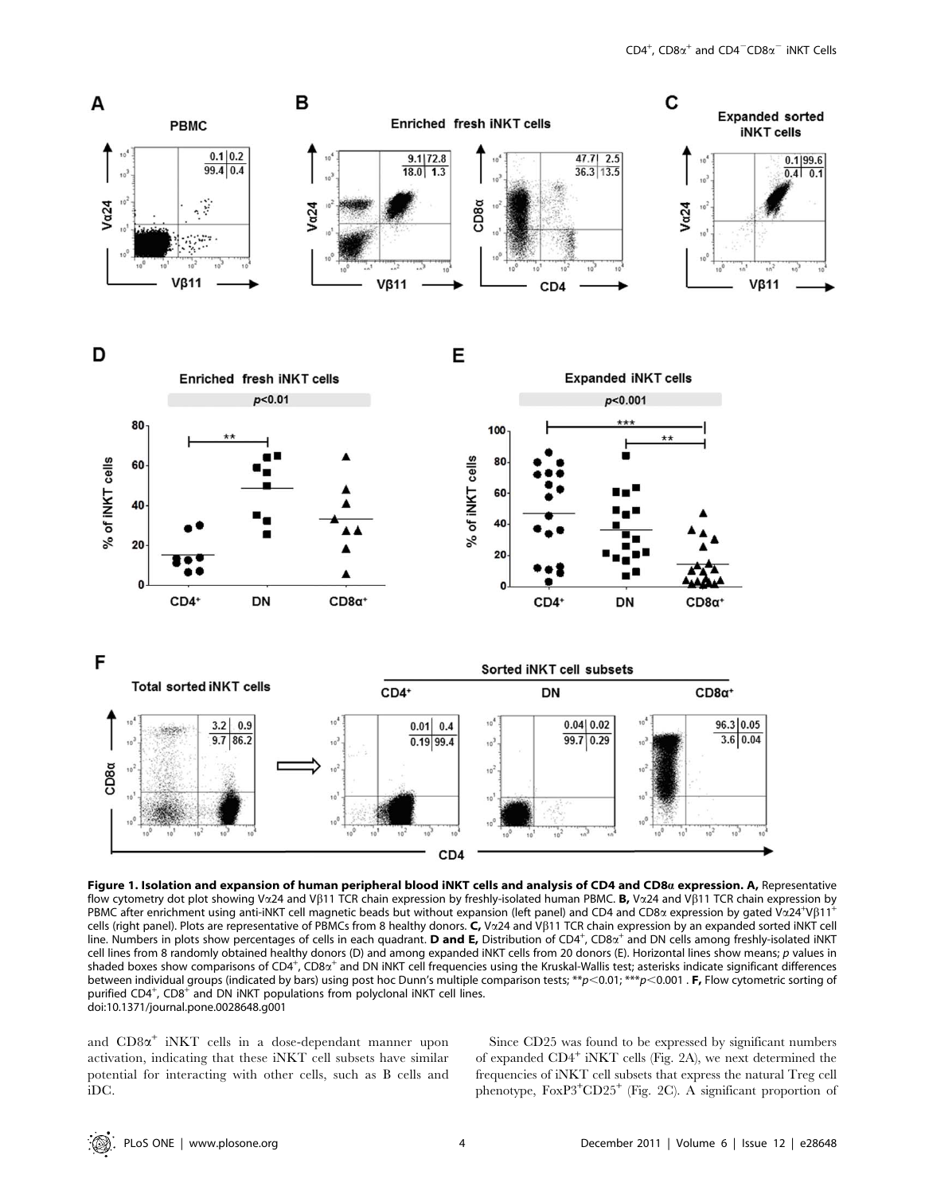



Figure 1. Isolation and expansion of human peripheral blood iNKT cells and analysis of CD4 and CD8a expression. A, Representative flow cytometry dot plot showing V $\alpha$ 24 and V $\beta$ 11 TCR chain expression by freshly-isolated human PBMC. **B,** V $\alpha$ 24 and V $\beta$ 11 TCR chain expression by PBMC after enrichment using anti-INKT cell magnetic beads but without expansion (left panel) and CD4 and CD8 $\alpha$  expression by gated V $\alpha$ 24<sup>+</sup>Vβ11<sup>+</sup> cells (right panel). Plots are representative of PBMCs from 8 healthy donors. C, V $\alpha$ 24 and V $\beta$ 11 TCR chain expression by an expanded sorted iNKT cell line. Numbers in plots show percentages of cells in each quadrant. D and E, Distribution of CD4+, CD8 $\alpha^+$  and DN cells among freshly-isolated iNKT cell lines from 8 randomly obtained healthy donors (D) and among expanded iNKT cells from 20 donors (E). Horizontal lines show means; p values in shaded boxes show comparisons of CD4<sup>+</sup>, CD8 $\alpha^+$  and DN iNKT cell frequencies using the Kruskal-Wallis test; asterisks indicate significant differences between individual groups (indicated by bars) using post hoc Dunn's multiple comparison tests; \*\*p<0.01; \*\*p<0.001 . F, Flow cytometric sorting of purified CD4<sup>+</sup>, CD8<sup>+</sup> and DN iNKT populations from polyclonal iNKT cell lines. doi:10.1371/journal.pone.0028648.g001

and  $CD8\alpha^+$  iNKT cells in a dose-dependant manner upon activation, indicating that these iNKT cell subsets have similar potential for interacting with other cells, such as B cells and iDC.

Since CD25 was found to be expressed by significant numbers of expanded  $CD4^+$  iNKT cells (Fig. 2A), we next determined the frequencies of iNKT cell subsets that express the natural Treg cell phenotype, FoxP3<sup>+</sup>CD25<sup>+</sup> (Fig. 2C). A significant proportion of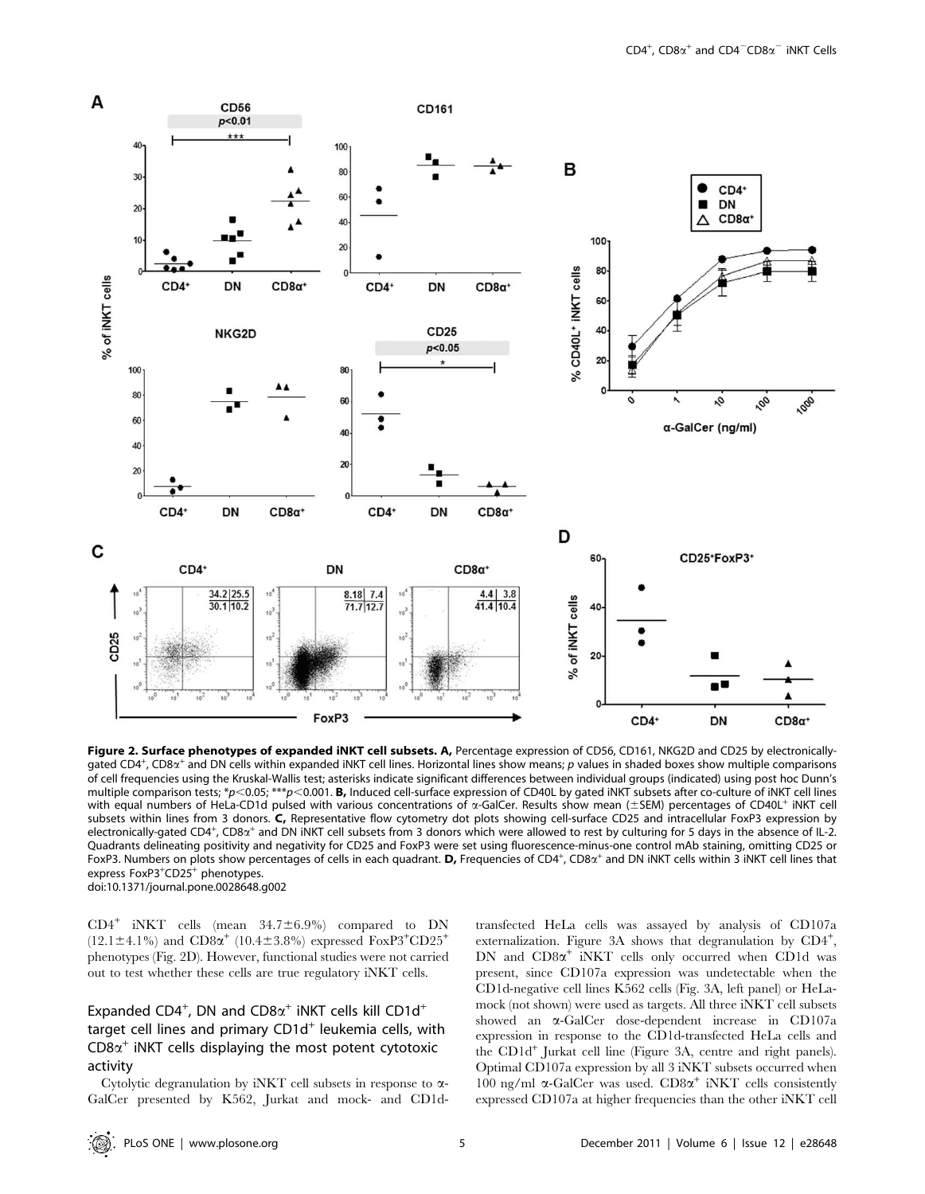

Figure 2. Surface phenotypes of expanded iNKT cell subsets. A, Percentage expression of CD56, CD161, NKG2D and CD25 by electronicallygated CD4+, CD8 $\alpha^+$  and DN cells within expanded iNKT cell lines. Horizontal lines show means; p values in shaded boxes show multiple comparisons of cell frequencies using the Kruskal-Wallis test; asterisks indicate significant differences between individual groups (indicated) using post hoc Dunn's multiple comparison tests; \*p<0.05; \*\*\*p<0.001. B, Induced cell-surface expression of CD40L by gated iNKT subsets after co-culture of iNKT cell lines with equal numbers of HeLa-CD1d pulsed with various concentrations of  $\alpha$ -GalCer. Results show mean ( $\pm$ SEM) percentages of CD40L<sup>+</sup> iNKT cell subsets within lines from 3 donors. C, Representative flow cytometry dot plots showing cell-surface CD25 and intracellular FoxP3 expression by electronically-gated CD4<sup>+</sup>, CD8a<sup>+</sup> and DN iNKT cell subsets from 3 donors which were allowed to rest by culturing for 5 days in the absence of IL-2. Quadrants delineating positivity and negativity for CD25 and FoxP3 were set using fluorescence-minus-one control mAb staining, omitting CD25 or FoxP3. Numbers on plots show percentages of cells in each quadrant. D, Frequencies of CD4+, CD8 $\alpha^+$  and DN iNKT cells within 3 iNKT cell lines that express FoxP3<sup>+</sup>CD25<sup>+</sup> phenotypes. doi:10.1371/journal.pone.0028648.g002

 $CD4^+$  iNKT cells (mean  $34.7 \pm 6.9\%$ ) compared to DN  $(12.1 \pm 4.1\%)$  and  $CD8\alpha^{+}$   $(10.4 \pm 3.8\%)$  expressed FoxP3<sup>+</sup>CD25<sup>+</sup> phenotypes (Fig. 2D). However, functional studies were not carried out to test whether these cells are true regulatory iNKT cells.

# Expanded CD4<sup>+</sup>, DN and CD8 $\alpha^+$  iNKT cells kill CD1d<sup>+</sup> target cell lines and primary CD1d<sup>+</sup> leukemia cells, with  $CD8\alpha^+$  iNKT cells displaying the most potent cytotoxic activity

Cytolytic degranulation by iNKT cell subsets in response to  $\alpha$ -GalCer presented by K562, Jurkat and mock- and CD1dtransfected HeLa cells was assayed by analysis of CD107a externalization. Figure 3A shows that degranulation by CD4<sup>+</sup>,  $DN$  and  $CD8\alpha^+$  iNKT cells only occurred when CD1d was present, since CD107a expression was undetectable when the CD1d-negative cell lines K562 cells (Fig. 3A, left panel) or HeLamock (not shown) were used as targets. All three iNKT cell subsets showed an a-GalCer dose-dependent increase in CD107a expression in response to the CD1d-transfected HeLa cells and the CD1d<sup>+</sup> Jurkat cell line (Figure 3A, centre and right panels). Optimal CD107a expression by all 3 iNKT subsets occurred when 100 ng/ml  $\alpha$ -GalCer was used. CD8 $\alpha$ <sup>+</sup> iNKT cells consistently expressed CD107a at higher frequencies than the other iNKT cell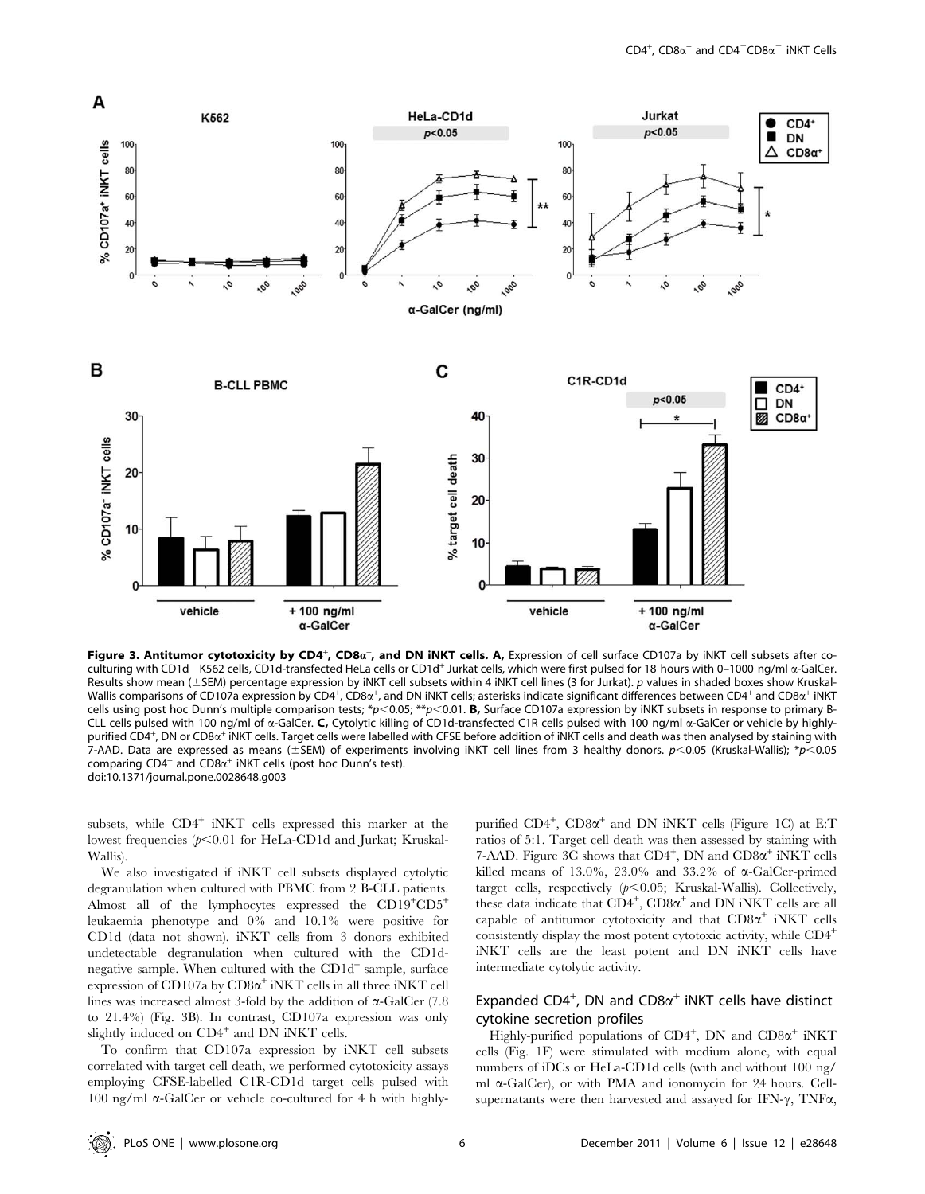

Figure 3. Antitumor cytotoxicity by CD4<sup>+</sup>, CD8a<sup>+</sup>, and DN iNKT cells. A, Expression of cell surface CD107a by iNKT cell subsets after coculturing with CD1d<sup>-</sup> K562 cells, CD1d-transfected HeLa cells or CD1d<sup>+</sup> Jurkat cells, which were first pulsed for 18 hours with 0-1000 ng/ml a-GalCer. Results show mean (±SEM) percentage expression by iNKT cell subsets within 4 iNKT cell lines (3 for Jurkat). p values in shaded boxes show Kruskal-Wallis comparisons of CD107a expression by CD4<sup>+</sup>, CD8 $\alpha^+$ , and DN iNKT cells; asterisks indicate significant differences between CD4<sup>+</sup> and CD8 $\alpha^+$  iNKT cells using post hoc Dunn's multiple comparison tests; \*p<0.05; \*\*p<0.01. B, Surface CD107a expression by iNKT subsets in response to primary B-CLL cells pulsed with 100 ng/ml of  $\alpha$ -GalCer. C, Cytolytic killing of CD1d-transfected C1R cells pulsed with 100 ng/ml  $\alpha$ -GalCer or vehicle by highlypurified CD4<sup>+</sup>, DN or CD8 $\alpha^+$  iNKT cells. Target cells were labelled with CFSE before addition of iNKT cells and death was then analysed by staining with 7-AAD. Data are expressed as means ( $\pm$ SEM) of experiments involving iNKT cell lines from 3 healthy donors.  $p$ <0.05 (Kruskal-Wallis); \*p<0.05 comparing  $CD4^+$  and  $CD8\alpha^+$  iNKT cells (post hoc Dunn's test). doi:10.1371/journal.pone.0028648.g003

subsets, while CD4<sup>+</sup> iNKT cells expressed this marker at the lowest frequencies  $(p<0.01$  for HeLa-CD1d and Jurkat; Kruskal-Wallis).

We also investigated if iNKT cell subsets displayed cytolytic degranulation when cultured with PBMC from 2 B-CLL patients. Almost all of the lymphocytes expressed the CD19<sup>+</sup>CD5<sup>+</sup> leukaemia phenotype and 0% and 10.1% were positive for CD1d (data not shown). iNKT cells from 3 donors exhibited undetectable degranulation when cultured with the CD1dnegative sample. When cultured with the  $CD1d<sup>+</sup>$  sample, surface expression of CD107a by  $CD8\alpha^+$  iNKT cells in all three iNKT cell lines was increased almost 3-fold by the addition of  $\alpha$ -GalCer (7.8) to 21.4%) (Fig. 3B). In contrast, CD107a expression was only slightly induced on  $CD4^+$  and DN iNKT cells.

To confirm that CD107a expression by iNKT cell subsets correlated with target cell death, we performed cytotoxicity assays employing CFSE-labelled C1R-CD1d target cells pulsed with 100 ng/ml  $\alpha$ -GalCer or vehicle co-cultured for 4 h with highly-

purified  $CD4^+$ ,  $CD8\alpha^+$  and DN iNKT cells (Figure 1C) at E:T ratios of 5:1. Target cell death was then assessed by staining with 7-AAD. Figure 3C shows that CD4<sup>+</sup>, DN and CD8 $\alpha$ <sup>+</sup> iNKT cells killed means of 13.0%, 23.0% and 33.2% of  $\alpha$ -GalCer-primed target cells, respectively  $(p<0.05$ ; Kruskal-Wallis). Collectively, these data indicate that  $CD4^+$ ,  $CD8\alpha^+$  and DN iNKT cells are all capable of antitumor cytotoxicity and that  $CD8\alpha^+$  iNKT cells consistently display the most potent cytotoxic activity, while CD4<sup>+</sup> iNKT cells are the least potent and DN iNKT cells have intermediate cytolytic activity.

# Expanded CD4<sup>+</sup>, DN and CD8 $\alpha^+$  iNKT cells have distinct cytokine secretion profiles

Highly-purified populations of CD4<sup>+</sup>, DN and CD8 $\alpha$ <sup>+</sup> iNKT cells (Fig. 1F) were stimulated with medium alone, with equal numbers of iDCs or HeLa-CD1d cells (with and without 100 ng/ ml a-GalCer), or with PMA and ionomycin for 24 hours. Cellsupernatants were then harvested and assayed for IFN- $\gamma$ , TNF $\alpha$ ,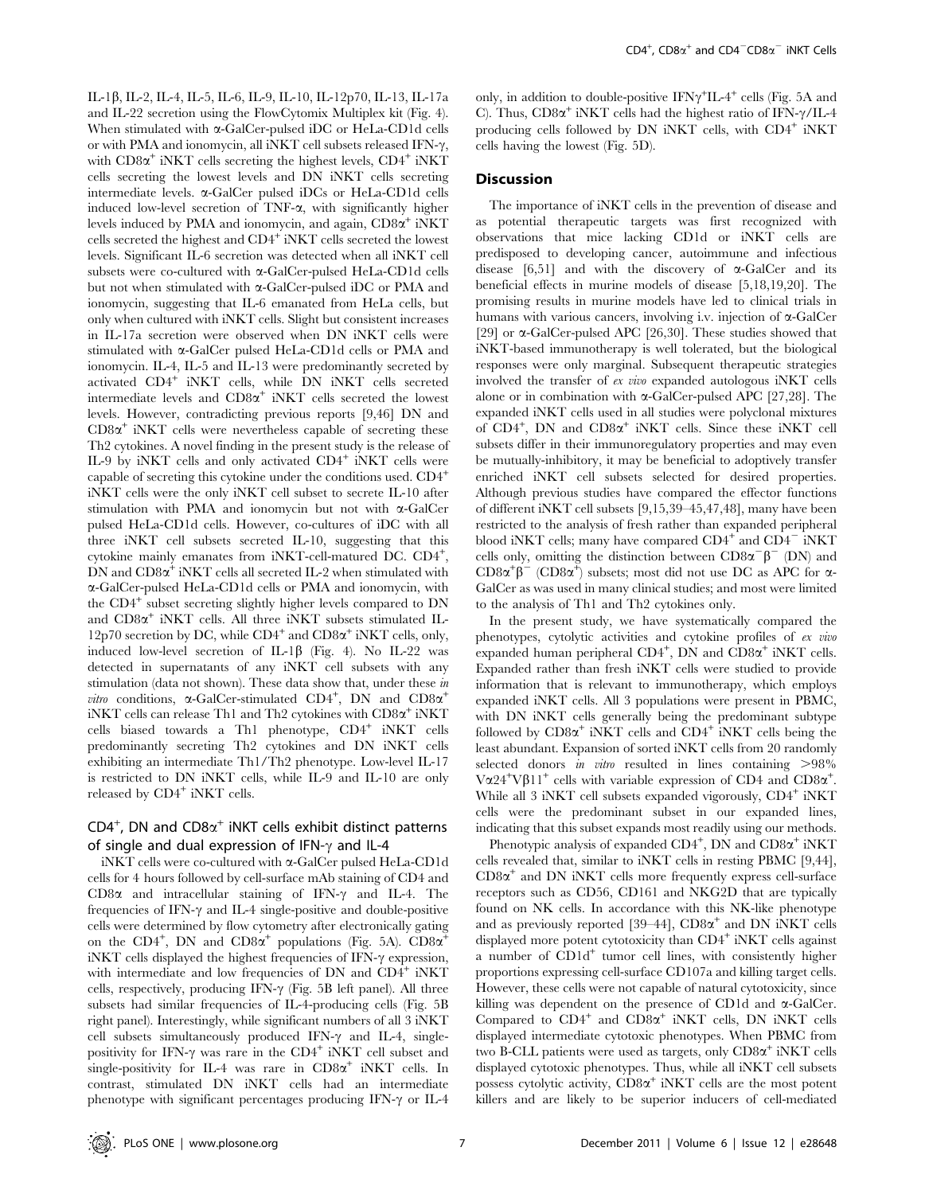IL-1b, IL-2, IL-4, IL-5, IL-6, IL-9, IL-10, IL-12p70, IL-13, IL-17a and IL-22 secretion using the FlowCytomix Multiplex kit (Fig. 4). When stimulated with a-GalCer-pulsed iDC or HeLa-CD1d cells or with PMA and ionomycin, all iNKT cell subsets released IFN- $\gamma$ , with  $CD8\alpha^+$  iNKT cells secreting the highest levels,  $CD4^+$  iNKT cells secreting the lowest levels and DN iNKT cells secreting intermediate levels. a-GalCer pulsed iDCs or HeLa-CD1d cells induced low-level secretion of  $TNF-\alpha$ , with significantly higher levels induced by PMA and ionomycin, and again,  $CD8\alpha^+$  iNKT cells secreted the highest and CD4<sup>+</sup> iNKT cells secreted the lowest levels. Significant IL-6 secretion was detected when all iNKT cell subsets were co-cultured with a-GalCer-pulsed HeLa-CD1d cells but not when stimulated with a-GalCer-pulsed iDC or PMA and ionomycin, suggesting that IL-6 emanated from HeLa cells, but only when cultured with iNKT cells. Slight but consistent increases in IL-17a secretion were observed when DN iNKT cells were stimulated with a-GalCer pulsed HeLa-CD1d cells or PMA and ionomycin. IL-4, IL-5 and IL-13 were predominantly secreted by activated CD4<sup>+</sup> iNKT cells, while DN iNKT cells secreted intermediate levels and  $CD8\alpha^+$  iNKT cells secreted the lowest levels. However, contradicting previous reports [9,46] DN and  $CD8\alpha^+$  iNKT cells were nevertheless capable of secreting these Th2 cytokines. A novel finding in the present study is the release of IL-9 by iNKT cells and only activated CD4<sup>+</sup> iNKT cells were capable of secreting this cytokine under the conditions used. CD4<sup>+</sup> iNKT cells were the only iNKT cell subset to secrete IL-10 after stimulation with PMA and ionomycin but not with a-GalCer pulsed HeLa-CD1d cells. However, co-cultures of iDC with all three iNKT cell subsets secreted IL-10, suggesting that this cytokine mainly emanates from iNKT-cell-matured DC. CD4<sup>+</sup>,  $DN$  and  $CD8\alpha^+$  iNKT cells all secreted IL-2 when stimulated with a-GalCer-pulsed HeLa-CD1d cells or PMA and ionomycin, with the CD4<sup>+</sup> subset secreting slightly higher levels compared to DN and  $CD8\alpha^+$  iNKT cells. All three iNKT subsets stimulated IL- $12p70$  secretion by DC, while  $CD4^+$  and  $CD8\alpha^+$  iNKT cells, only, induced low-level secretion of IL-1 $\beta$  (Fig. 4). No IL-22 was detected in supernatants of any iNKT cell subsets with any stimulation (data not shown). These data show that, under these in vitro conditions,  $\alpha$ -GalCer-stimulated CD4<sup>+</sup>, DN and CD8 $\alpha$ <sup>+</sup> iNKT cells can release Th1 and Th2 cytokines with  $CD8\alpha^+$  iNKT cells biased towards a Th1 phenotype, CD4<sup>+</sup> iNKT cells predominantly secreting Th2 cytokines and DN iNKT cells exhibiting an intermediate Th1/Th2 phenotype. Low-level IL-17 is restricted to DN iNKT cells, while IL-9 and IL-10 are only released by CD4<sup>+</sup> iNKT cells.

# $CD4^+$ , DN and  $CD8\alpha^+$  iNKT cells exhibit distinct patterns of single and dual expression of IFN- $\gamma$  and IL-4

iNKT cells were co-cultured with a-GalCer pulsed HeLa-CD1d cells for 4 hours followed by cell-surface mAb staining of CD4 and CD8 $\alpha$  and intracellular staining of IFN- $\gamma$  and IL-4. The frequencies of IFN- $\gamma$  and IL-4 single-positive and double-positive cells were determined by flow cytometry after electronically gating on the CD4<sup>+</sup>, DN and CD8 $\alpha$ <sup>+</sup> populations (Fig. 5A). CD8 $\alpha$ <sup>+</sup> iNKT cells displayed the highest frequencies of  $IFN-\gamma$  expression, with intermediate and low frequencies of DN and CD4<sup>+</sup> iNKT cells, respectively, producing IFN- $\gamma$  (Fig. 5B left panel). All three subsets had similar frequencies of IL-4-producing cells (Fig. 5B right panel). Interestingly, while significant numbers of all 3 iNKT cell subsets simultaneously produced IFN- $\gamma$  and IL-4, singlepositivity for IFN- $\gamma$  was rare in the CD4<sup>+</sup> iNKT cell subset and single-positivity for IL-4 was rare in  $CD8\alpha^+$  iNKT cells. In contrast, stimulated DN iNKT cells had an intermediate phenotype with significant percentages producing IFN- $\gamma$  or IL-4

only, in addition to double-positive IFN $\gamma^+$ IL-4<sup>+</sup> cells (Fig. 5A and C). Thus,  $CD8\alpha^+$  iNKT cells had the highest ratio of IFN- $\gamma$ /IL-4 producing cells followed by DN iNKT cells, with CD4<sup>+</sup> iNKT cells having the lowest (Fig. 5D).

## Discussion

The importance of iNKT cells in the prevention of disease and as potential therapeutic targets was first recognized with observations that mice lacking CD1d or iNKT cells are predisposed to developing cancer, autoimmune and infectious disease  $[6,51]$  and with the discovery of  $\alpha$ -GalCer and its beneficial effects in murine models of disease [5,18,19,20]. The promising results in murine models have led to clinical trials in humans with various cancers, involving i.v. injection of  $\alpha$ -GalCer [29] or  $\alpha$ -GalCer-pulsed APC [26,30]. These studies showed that iNKT-based immunotherapy is well tolerated, but the biological responses were only marginal. Subsequent therapeutic strategies involved the transfer of ex vivo expanded autologous iNKT cells alone or in combination with  $\alpha$ -GalCer-pulsed APC [27,28]. The expanded iNKT cells used in all studies were polyclonal mixtures of  $CD4^+$ , DN and  $CD8\alpha^+$  iNKT cells. Since these iNKT cell subsets differ in their immunoregulatory properties and may even be mutually-inhibitory, it may be beneficial to adoptively transfer enriched iNKT cell subsets selected for desired properties. Although previous studies have compared the effector functions of different iNKT cell subsets [9,15,39–45,47,48], many have been restricted to the analysis of fresh rather than expanded peripheral blood iNKT cells; many have compared  $CD4^+$  and  $CD4^-$  iNKT cells only, omitting the distinction between  $CD8\alpha^{-}\beta^{-}$  (DN) and  $CD8\alpha^+\beta^-$  (CD8 $\alpha^+$ ) subsets; most did not use DC as APC for  $\alpha$ -GalCer as was used in many clinical studies; and most were limited to the analysis of Th1 and Th2 cytokines only.

In the present study, we have systematically compared the phenotypes, cytolytic activities and cytokine profiles of ex vivo expanded human peripheral  $CD4^+$ ,  $DN$  and  $CD8\alpha^+$  iNKT cells. Expanded rather than fresh iNKT cells were studied to provide information that is relevant to immunotherapy, which employs expanded iNKT cells. All 3 populations were present in PBMC, with DN iNKT cells generally being the predominant subtype followed by  $CD8\alpha^+$  iNKT cells and  $CD4^+$  iNKT cells being the least abundant. Expansion of sorted iNKT cells from 20 randomly selected donors in vitro resulted in lines containing  $>98\%$ V $\alpha$ 24<sup>+</sup>V $\beta$ 11<sup>+</sup> cells with variable expression of CD4 and CD8 $\alpha$ <sup>+</sup>. While all 3 iNKT cell subsets expanded vigorously, CD4<sup>+</sup> iNKT cells were the predominant subset in our expanded lines, indicating that this subset expands most readily using our methods.

Phenotypic analysis of expanded  $CD4^+$ , DN and  $CD8\alpha^+$  iNKT cells revealed that, similar to iNKT cells in resting PBMC [9,44],  $CD8\alpha^+$  and DN iNKT cells more frequently express cell-surface receptors such as CD56, CD161 and NKG2D that are typically found on NK cells. In accordance with this NK-like phenotype and as previously reported [39–44],  $CD8\alpha^+$  and DN iNKT cells displayed more potent cytotoxicity than CD4<sup>+</sup> iNKT cells against a number of CD1d<sup>+</sup> tumor cell lines, with consistently higher proportions expressing cell-surface CD107a and killing target cells. However, these cells were not capable of natural cytotoxicity, since killing was dependent on the presence of CD1d and  $\alpha$ -GalCer. Compared to  $CD4^+$  and  $CD8\alpha^+$  iNKT cells, DN iNKT cells displayed intermediate cytotoxic phenotypes. When PBMC from two B-CLL patients were used as targets, only  $CD8\alpha^+$  iNKT cells displayed cytotoxic phenotypes. Thus, while all iNKT cell subsets possess cytolytic activity,  $CD8\alpha^+$  iNKT cells are the most potent killers and are likely to be superior inducers of cell-mediated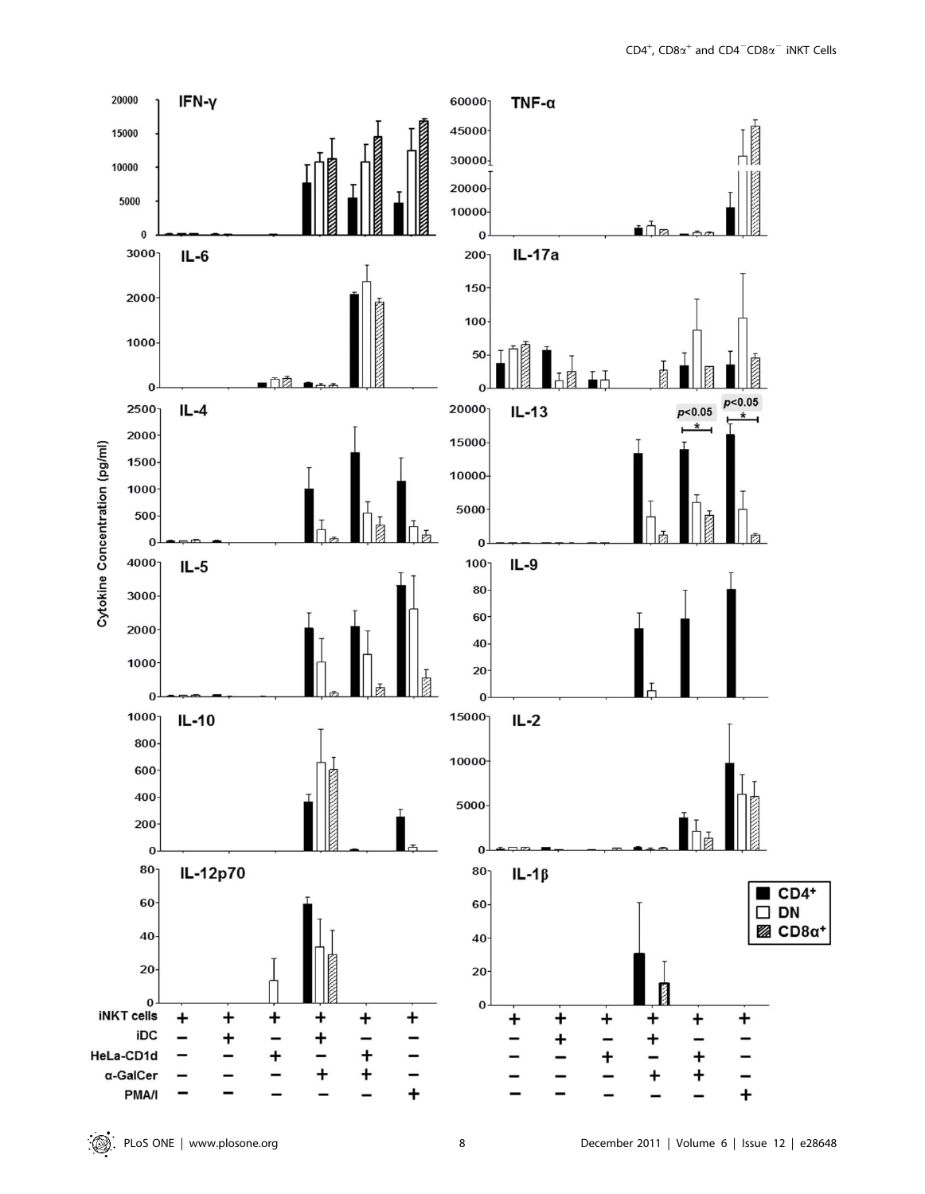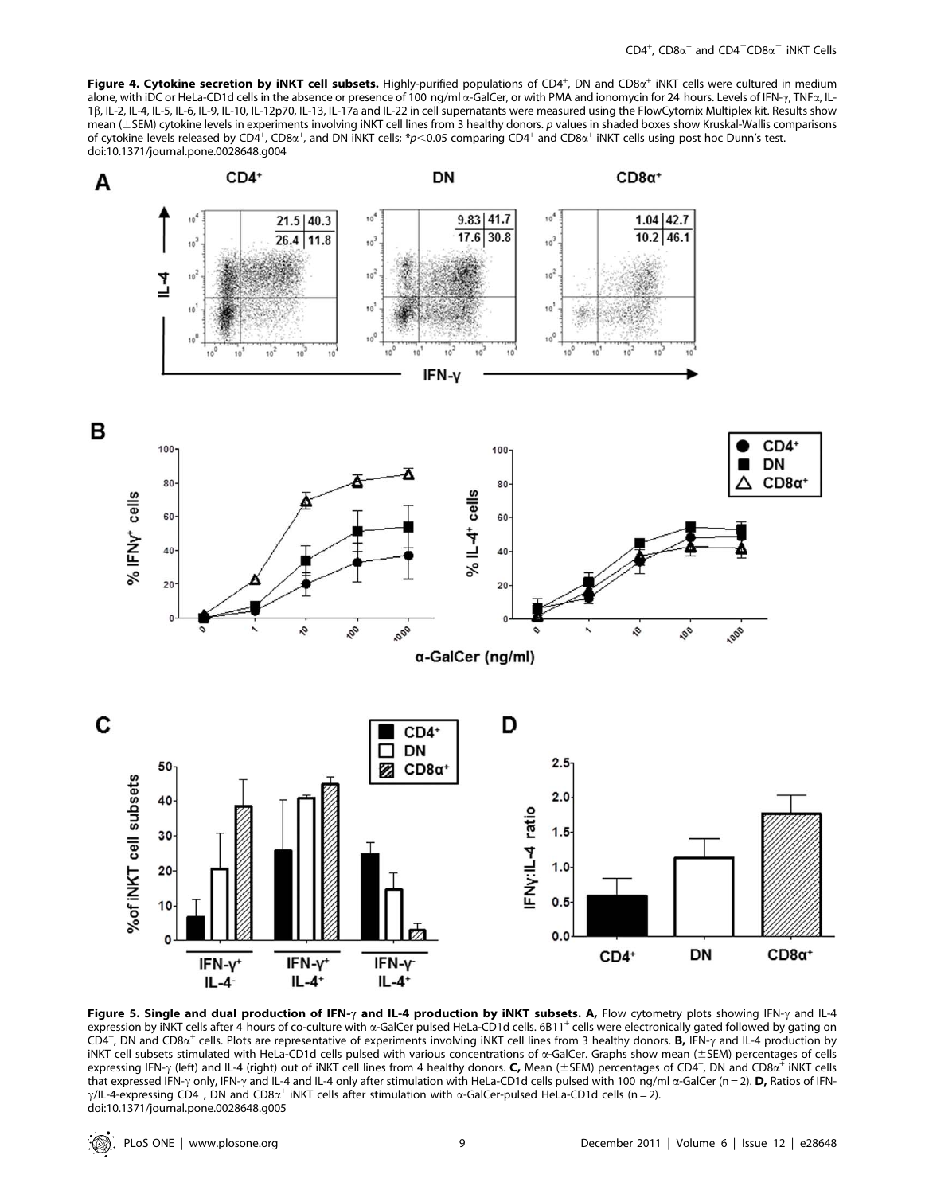Figure 4. Cytokine secretion by iNKT cell subsets. Highly-purified populations of CD4+, DN and CD8a<sup>+</sup> iNKT cells were cultured in medium alone, with iDC or HeLa-CD1d cells in the absence or presence of 100 ng/ml a-GalCer, or with PMA and ionomycin for 24 hours. Levels of IFN- $\gamma$ , TNFa, IL-1b, IL-2, IL-4, IL-5, IL-6, IL-9, IL-10, IL-12p70, IL-13, IL-17a and IL-22 in cell supernatants were measured using the FlowCytomix Multiplex kit. Results show mean (±SEM) cytokine levels in experiments involving iNKT cell lines from 3 healthy donors. p values in shaded boxes show Kruskal-Wallis comparisons of cytokine levels released by CD4<sup>+</sup>, CD8 $\alpha^+$ , and DN iNKT cells; \*p<0.05 comparing CD4<sup>+</sup> and CD8 $\alpha^+$  iNKT cells using post hoc Dunn's test. doi:10.1371/journal.pone.0028648.g004



Figure 5. Single and dual production of IFN- $\gamma$  and IL-4 production by iNKT subsets. A, Flow cytometry plots showing IFN- $\gamma$  and IL-4 expression by iNKT cells after 4 hours of co-culture with  $\alpha$ -GalCer pulsed HeLa-CD1d cells. 6B11<sup>+</sup> cells were electronically gated followed by gating on  $CD4^+$ , DN and CD8 $\alpha^+$  cells. Plots are representative of experiments involving iNKT cell lines from 3 healthy donors. B, IFN- $\gamma$  and IL-4 production by iNKT cell subsets stimulated with HeLa-CD1d cells pulsed with various concentrations of  $\alpha$ -GalCer. Graphs show mean ( $\pm$ SEM) percentages of cells expressing IFN- $\gamma$  (left) and IL-4 (right) out of iNKT cell lines from 4 healthy donors. C, Mean ( $\pm$ SEM) percentages of CD4<sup>+</sup>, DN and CD8 $\alpha^{\mp}$  iNKT cells that expressed IFN- $\gamma$  only, IFN- $\gamma$  and IL-4 and IL-4 only after stimulation with HeLa-CD1d cells pulsed with 100 ng/ml  $\alpha$ -GalCer (n = 2). D, Ratios of IFN- $\gamma$ /IL-4-expressing CD4+, DN and CD8 $\alpha^+$  iNKT cells after stimulation with  $\alpha$ -GalCer-pulsed HeLa-CD1d cells (n = 2). doi:10.1371/journal.pone.0028648.g005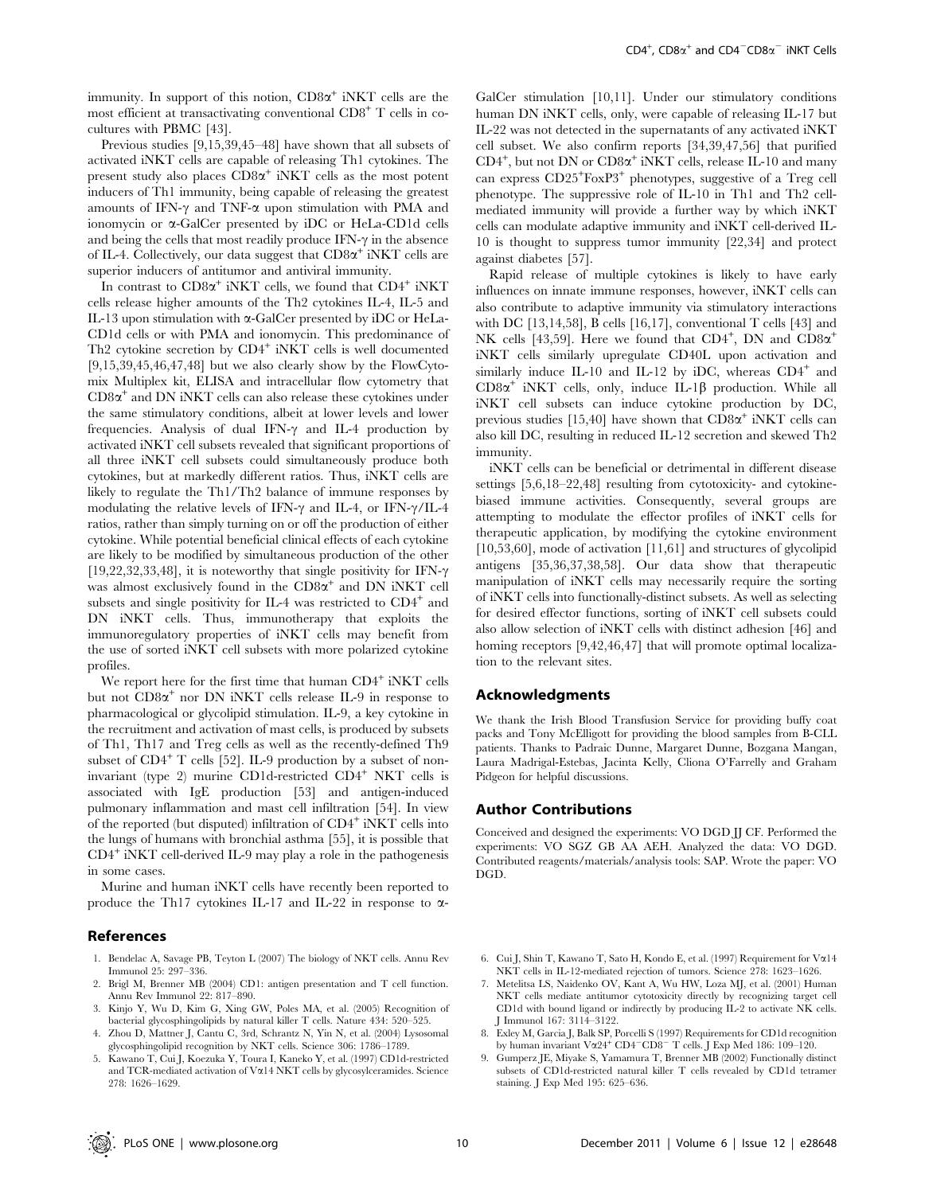immunity. In support of this notion,  $CD8\alpha^+$  iNKT cells are the most efficient at transactivating conventional CD8<sup>+</sup> T cells in cocultures with PBMC [43].

Previous studies [9,15,39,45–48] have shown that all subsets of activated iNKT cells are capable of releasing Th1 cytokines. The present study also places  $CD8\alpha^+$  iNKT cells as the most potent inducers of Th1 immunity, being capable of releasing the greatest amounts of IFN- $\gamma$  and TNF- $\alpha$  upon stimulation with PMA and ionomycin or a-GalCer presented by iDC or HeLa-CD1d cells and being the cells that most readily produce IFN- $\gamma$  in the absence of IL-4. Collectively, our data suggest that  $CD8\alpha^+$  iNKT cells are superior inducers of antitumor and antiviral immunity.

In contrast to  $CD8\alpha^+$  iNKT cells, we found that  $CD4^+$  iNKT cells release higher amounts of the Th2 cytokines IL-4, IL-5 and IL-13 upon stimulation with  $\alpha$ -GalCer presented by iDC or HeLa-CD1d cells or with PMA and ionomycin. This predominance of Th2 cytokine secretion by CD4<sup>+</sup> iNKT cells is well documented [9,15,39,45,46,47,48] but we also clearly show by the FlowCytomix Multiplex kit, ELISA and intracellular flow cytometry that  $CD8\alpha^+$  and DN iNKT cells can also release these cytokines under the same stimulatory conditions, albeit at lower levels and lower frequencies. Analysis of dual IFN- $\gamma$  and IL-4 production by activated iNKT cell subsets revealed that significant proportions of all three iNKT cell subsets could simultaneously produce both cytokines, but at markedly different ratios. Thus, iNKT cells are likely to regulate the Th1/Th2 balance of immune responses by modulating the relative levels of IFN- $\gamma$  and IL-4, or IFN- $\gamma$ /IL-4 ratios, rather than simply turning on or off the production of either cytokine. While potential beneficial clinical effects of each cytokine are likely to be modified by simultaneous production of the other [19,22,32,33,48], it is noteworthy that single positivity for IFN- $\gamma$ was almost exclusively found in the  $CD8\alpha^+$  and DN iNKT cell subsets and single positivity for IL-4 was restricted to  $CD4^+$  and DN iNKT cells. Thus, immunotherapy that exploits the immunoregulatory properties of iNKT cells may benefit from the use of sorted iNKT cell subsets with more polarized cytokine profiles.

We report here for the first time that human CD4<sup>+</sup> iNKT cells but not  $CD8\alpha^+$  nor DN iNKT cells release IL-9 in response to pharmacological or glycolipid stimulation. IL-9, a key cytokine in the recruitment and activation of mast cells, is produced by subsets of Th1, Th17 and Treg cells as well as the recently-defined Th9 subset of  $CD4^+$  T cells [52]. IL-9 production by a subset of noninvariant (type 2) murine CD1d-restricted CD4<sup>+</sup> NKT cells is associated with IgE production [53] and antigen-induced pulmonary inflammation and mast cell infiltration [54]. In view of the reported (but disputed) infiltration of  $CD4^+$  iNKT cells into the lungs of humans with bronchial asthma [55], it is possible that CD4<sup>+</sup> iNKT cell-derived IL-9 may play a role in the pathogenesis in some cases.

Murine and human iNKT cells have recently been reported to produce the Th17 cytokines IL-17 and IL-22 in response to  $\alpha$ -

#### References

- 1. Bendelac A, Savage PB, Teyton L (2007) The biology of NKT cells. Annu Rev Immunol 25: 297–336.
- 2. Brigl M, Brenner MB (2004) CD1: antigen presentation and T cell function. Annu Rev Immunol 22: 817–890.
- 3. Kinjo Y, Wu D, Kim G, Xing GW, Poles MA, et al. (2005) Recognition of bacterial glycosphingolipids by natural killer T cells. Nature 434: 520–525.
- 4. Zhou D, Mattner J, Cantu C, 3rd, Schrantz N, Yin N, et al. (2004) Lysosomal glycosphingolipid recognition by NKT cells. Science 306: 1786–1789.
- 5. Kawano T, Cui J, Koezuka Y, Toura I, Kaneko Y, et al. (1997) CD1d-restricted and TCR-mediated activation of Va14 NKT cells by glycosylceramides. Science 278: 1626–1629.

GalCer stimulation [10,11]. Under our stimulatory conditions human DN iNKT cells, only, were capable of releasing IL-17 but IL-22 was not detected in the supernatants of any activated iNKT cell subset. We also confirm reports [34,39,47,56] that purified CD4<sup>+</sup>, but not DN or CD8 $\alpha$ <sup>+</sup> iNKT cells, release IL-10 and many can express CD25<sup>+</sup>FoxP3<sup>+</sup> phenotypes, suggestive of a Treg cell phenotype. The suppressive role of IL-10 in Th1 and Th2 cellmediated immunity will provide a further way by which iNKT cells can modulate adaptive immunity and iNKT cell-derived IL-10 is thought to suppress tumor immunity [22,34] and protect against diabetes [57].

Rapid release of multiple cytokines is likely to have early influences on innate immune responses, however, iNKT cells can also contribute to adaptive immunity via stimulatory interactions with DC [13,14,58], B cells [16,17], conventional T cells [43] and NK cells [43,59]. Here we found that  $CD4^+$ , DN and  $CD8\alpha^+$ iNKT cells similarly upregulate CD40L upon activation and similarly induce IL-10 and IL-12 by iDC, whereas  $CD4^+$  and  $CD8\alpha^+$  iNKT cells, only, induce IL-1 $\beta$  production. While all iNKT cell subsets can induce cytokine production by DC, previous studies [15,40] have shown that  $CD8\alpha^+$  iNKT cells can also kill DC, resulting in reduced IL-12 secretion and skewed Th2 immunity.

iNKT cells can be beneficial or detrimental in different disease settings [5,6,18–22,48] resulting from cytotoxicity- and cytokinebiased immune activities. Consequently, several groups are attempting to modulate the effector profiles of iNKT cells for therapeutic application, by modifying the cytokine environment [10,53,60], mode of activation [11,61] and structures of glycolipid antigens [35,36,37,38,58]. Our data show that therapeutic manipulation of iNKT cells may necessarily require the sorting of iNKT cells into functionally-distinct subsets. As well as selecting for desired effector functions, sorting of iNKT cell subsets could also allow selection of iNKT cells with distinct adhesion [46] and homing receptors [9,42,46,47] that will promote optimal localization to the relevant sites.

#### Acknowledgments

We thank the Irish Blood Transfusion Service for providing buffy coat packs and Tony McElligott for providing the blood samples from B-CLL patients. Thanks to Padraic Dunne, Margaret Dunne, Bozgana Mangan, Laura Madrigal-Estebas, Jacinta Kelly, Cliona O'Farrelly and Graham Pidgeon for helpful discussions.

#### Author Contributions

Conceived and designed the experiments: VO DGD JJ CF. Performed the experiments: VO SGZ GB AA AEH. Analyzed the data: VO DGD. Contributed reagents/materials/analysis tools: SAP. Wrote the paper: VO DGD.

- 6. Cui J, Shin T, Kawano T, Sato H, Kondo E, et al. (1997) Requirement for Va14 NKT cells in IL-12-mediated rejection of tumors. Science 278: 1623–1626.
- 7. Metelitsa LS, Naidenko OV, Kant A, Wu HW, Loza MJ, et al. (2001) Human NKT cells mediate antitumor cytotoxicity directly by recognizing target cell CD1d with bound ligand or indirectly by producing IL-2 to activate NK cells. J Immunol 167: 3114–3122.
- 8. Exley M, Garcia J, Balk SP, Porcelli S (1997) Requirements for CD1d recognition by human invariant Vo $24^+$  CD4<sup>-</sup>CD8<sup>-</sup> T cells. J Exp Med 186: 109-120.
- 9. Gumperz JE, Miyake S, Yamamura T, Brenner MB (2002) Functionally distinct subsets of CD1d-restricted natural killer T cells revealed by CD1d tetramer staining. J Exp Med 195: 625–636.